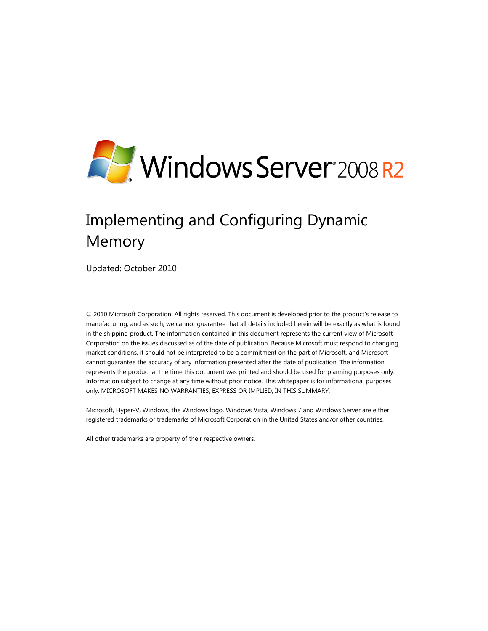

# Implementing and Configuring Dynamic Memory

Updated: October 2010

© 2010 Microsoft Corporation. All rights reserved. This document is developed prior to the product's release to manufacturing, and as such, we cannot guarantee that all details included herein will be exactly as what is found in the shipping product. The information contained in this document represents the current view of Microsoft Corporation on the issues discussed as of the date of publication. Because Microsoft must respond to changing market conditions, it should not be interpreted to be a commitment on the part of Microsoft, and Microsoft cannot guarantee the accuracy of any information presented after the date of publication. The information represents the product at the time this document was printed and should be used for planning purposes only. Information subject to change at any time without prior notice. This whitepaper is for informational purposes only. MICROSOFT MAKES NO WARRANTIES, EXPRESS OR IMPLIED, IN THIS SUMMARY.

Microsoft, Hyper-V, Windows, the Windows logo, Windows Vista, Windows 7 and Windows Server are either registered trademarks or trademarks of Microsoft Corporation in the United States and/or other countries.

All other trademarks are property of their respective owners.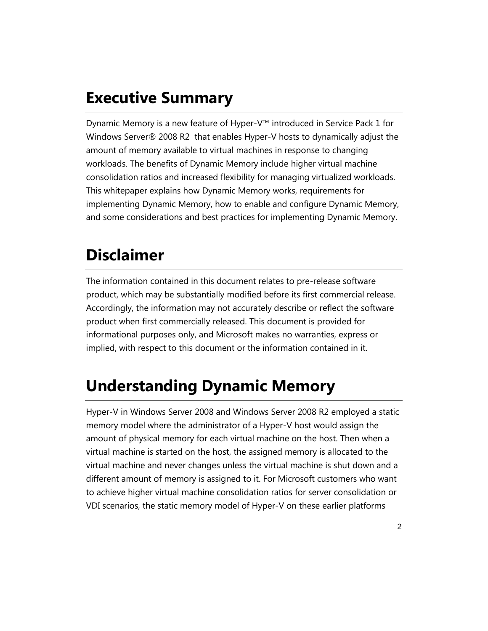## **Executive Summary**

Dynamic Memory is a new feature of Hyper-V™ introduced in Service Pack 1 for Windows Server® 2008 R2 that enables Hyper-V hosts to dynamically adjust the amount of memory available to virtual machines in response to changing workloads. The benefits of Dynamic Memory include higher virtual machine consolidation ratios and increased flexibility for managing virtualized workloads. This whitepaper explains how Dynamic Memory works, requirements for implementing Dynamic Memory, how to enable and configure Dynamic Memory, and some considerations and best practices for implementing Dynamic Memory.

### **Disclaimer**

The information contained in this document relates to pre-release software product, which may be substantially modified before its first commercial release. Accordingly, the information may not accurately describe or reflect the software product when first commercially released. This document is provided for informational purposes only, and Microsoft makes no warranties, express or implied, with respect to this document or the information contained in it.

## **Understanding Dynamic Memory**

Hyper-V in Windows Server 2008 and Windows Server 2008 R2 employed a static memory model where the administrator of a Hyper-V host would assign the amount of physical memory for each virtual machine on the host. Then when a virtual machine is started on the host, the assigned memory is allocated to the virtual machine and never changes unless the virtual machine is shut down and a different amount of memory is assigned to it. For Microsoft customers who want to achieve higher virtual machine consolidation ratios for server consolidation or VDI scenarios, the static memory model of Hyper-V on these earlier platforms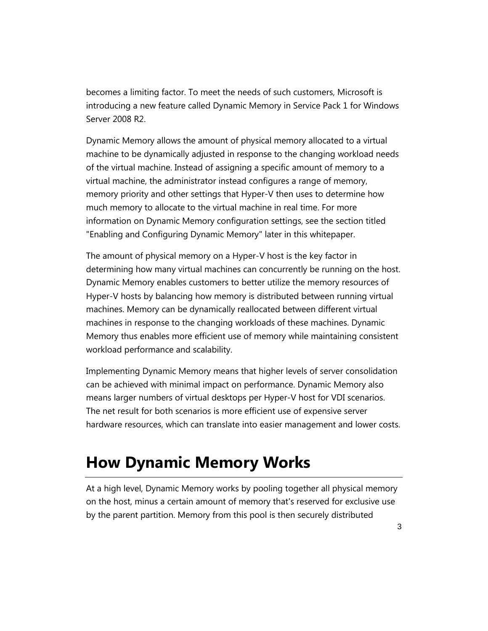becomes a limiting factor. To meet the needs of such customers, Microsoft is introducing a new feature called Dynamic Memory in Service Pack 1 for Windows Server 2008 R2.

Dynamic Memory allows the amount of physical memory allocated to a virtual machine to be dynamically adjusted in response to the changing workload needs of the virtual machine. Instead of assigning a specific amount of memory to a virtual machine, the administrator instead configures a range of memory, memory priority and other settings that Hyper-V then uses to determine how much memory to allocate to the virtual machine in real time. For more information on Dynamic Memory configuration settings, see the section titled "Enabling and Configuring Dynamic Memory" later in this whitepaper.

The amount of physical memory on a Hyper-V host is the key factor in determining how many virtual machines can concurrently be running on the host. Dynamic Memory enables customers to better utilize the memory resources of Hyper-V hosts by balancing how memory is distributed between running virtual machines. Memory can be dynamically reallocated between different virtual machines in response to the changing workloads of these machines. Dynamic Memory thus enables more efficient use of memory while maintaining consistent workload performance and scalability.

Implementing Dynamic Memory means that higher levels of server consolidation can be achieved with minimal impact on performance. Dynamic Memory also means larger numbers of virtual desktops per Hyper-V host for VDI scenarios. The net result for both scenarios is more efficient use of expensive server hardware resources, which can translate into easier management and lower costs.

## **How Dynamic Memory Works**

At a high level, Dynamic Memory works by pooling together all physical memory on the host, minus a certain amount of memory that's reserved for exclusive use by the parent partition. Memory from this pool is then securely distributed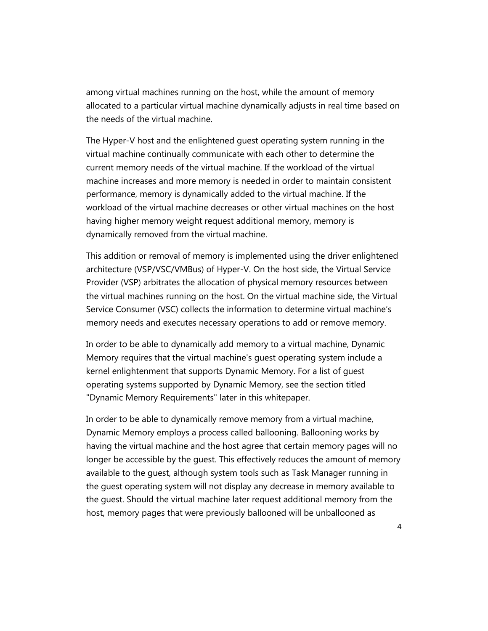among virtual machines running on the host, while the amount of memory allocated to a particular virtual machine dynamically adjusts in real time based on the needs of the virtual machine.

The Hyper-V host and the enlightened guest operating system running in the virtual machine continually communicate with each other to determine the current memory needs of the virtual machine. If the workload of the virtual machine increases and more memory is needed in order to maintain consistent performance, memory is dynamically added to the virtual machine. If the workload of the virtual machine decreases or other virtual machines on the host having higher memory weight request additional memory, memory is dynamically removed from the virtual machine.

This addition or removal of memory is implemented using the driver enlightened architecture (VSP/VSC/VMBus) of Hyper-V. On the host side, the Virtual Service Provider (VSP) arbitrates the allocation of physical memory resources between the virtual machines running on the host. On the virtual machine side, the Virtual Service Consumer (VSC) collects the information to determine virtual machine's memory needs and executes necessary operations to add or remove memory.

In order to be able to dynamically add memory to a virtual machine, Dynamic Memory requires that the virtual machine's guest operating system include a kernel enlightenment that supports Dynamic Memory. For a list of guest operating systems supported by Dynamic Memory, see the section titled "Dynamic Memory Requirements" later in this whitepaper.

In order to be able to dynamically remove memory from a virtual machine, Dynamic Memory employs a process called ballooning. Ballooning works by having the virtual machine and the host agree that certain memory pages will no longer be accessible by the guest. This effectively reduces the amount of memory available to the guest, although system tools such as Task Manager running in the guest operating system will not display any decrease in memory available to the guest. Should the virtual machine later request additional memory from the host, memory pages that were previously ballooned will be unballooned as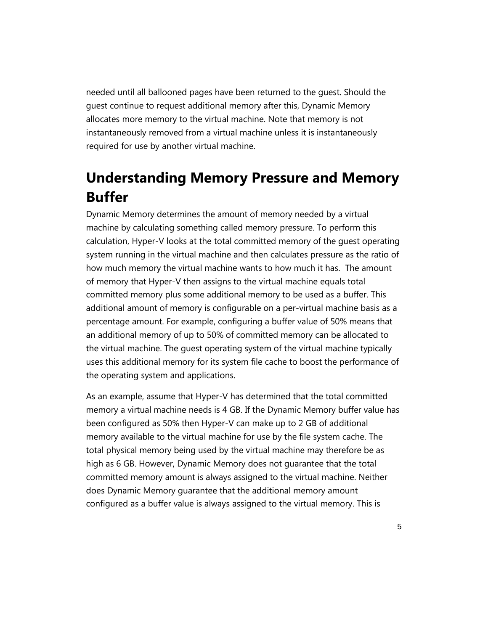needed until all ballooned pages have been returned to the guest. Should the guest continue to request additional memory after this, Dynamic Memory allocates more memory to the virtual machine. Note that memory is not instantaneously removed from a virtual machine unless it is instantaneously required for use by another virtual machine.

### **Understanding Memory Pressure and Memory Buffer**

Dynamic Memory determines the amount of memory needed by a virtual machine by calculating something called memory pressure. To perform this calculation, Hyper-V looks at the total committed memory of the guest operating system running in the virtual machine and then calculates pressure as the ratio of how much memory the virtual machine wants to how much it has. The amount of memory that Hyper-V then assigns to the virtual machine equals total committed memory plus some additional memory to be used as a buffer. This additional amount of memory is configurable on a per-virtual machine basis as a percentage amount. For example, configuring a buffer value of 50% means that an additional memory of up to 50% of committed memory can be allocated to the virtual machine. The guest operating system of the virtual machine typically uses this additional memory for its system file cache to boost the performance of the operating system and applications.

As an example, assume that Hyper-V has determined that the total committed memory a virtual machine needs is 4 GB. If the Dynamic Memory buffer value has been configured as 50% then Hyper-V can make up to 2 GB of additional memory available to the virtual machine for use by the file system cache. The total physical memory being used by the virtual machine may therefore be as high as 6 GB. However, Dynamic Memory does not guarantee that the total committed memory amount is always assigned to the virtual machine. Neither does Dynamic Memory guarantee that the additional memory amount configured as a buffer value is always assigned to the virtual memory. This is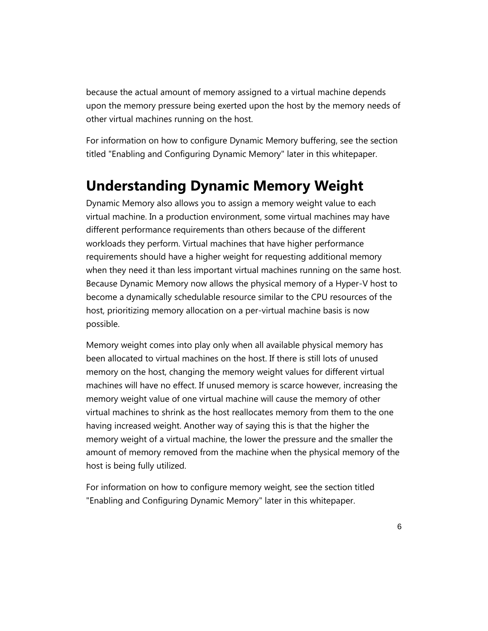because the actual amount of memory assigned to a virtual machine depends upon the memory pressure being exerted upon the host by the memory needs of other virtual machines running on the host.

For information on how to configure Dynamic Memory buffering, see the section titled "Enabling and Configuring Dynamic Memory" later in this whitepaper.

#### **Understanding Dynamic Memory Weight**

Dynamic Memory also allows you to assign a memory weight value to each virtual machine. In a production environment, some virtual machines may have different performance requirements than others because of the different workloads they perform. Virtual machines that have higher performance requirements should have a higher weight for requesting additional memory when they need it than less important virtual machines running on the same host. Because Dynamic Memory now allows the physical memory of a Hyper-V host to become a dynamically schedulable resource similar to the CPU resources of the host, prioritizing memory allocation on a per-virtual machine basis is now possible.

Memory weight comes into play only when all available physical memory has been allocated to virtual machines on the host. If there is still lots of unused memory on the host, changing the memory weight values for different virtual machines will have no effect. If unused memory is scarce however, increasing the memory weight value of one virtual machine will cause the memory of other virtual machines to shrink as the host reallocates memory from them to the one having increased weight. Another way of saying this is that the higher the memory weight of a virtual machine, the lower the pressure and the smaller the amount of memory removed from the machine when the physical memory of the host is being fully utilized.

For information on how to configure memory weight, see the section titled "Enabling and Configuring Dynamic Memory" later in this whitepaper.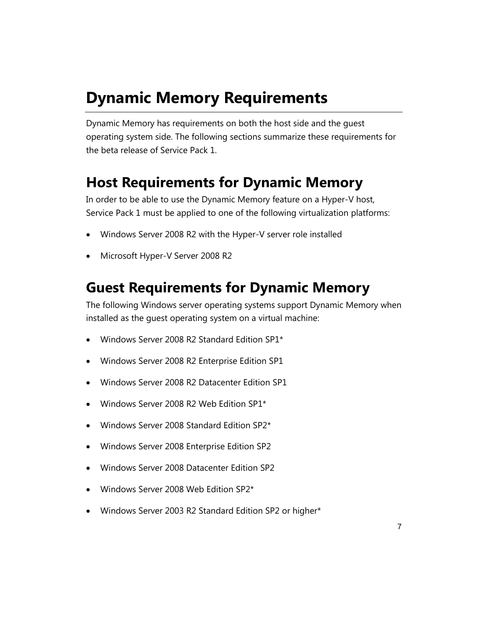## **Dynamic Memory Requirements**

Dynamic Memory has requirements on both the host side and the guest operating system side. The following sections summarize these requirements for the beta release of Service Pack 1.

### **Host Requirements for Dynamic Memory**

In order to be able to use the Dynamic Memory feature on a Hyper-V host, Service Pack 1 must be applied to one of the following virtualization platforms:

- Windows Server 2008 R2 with the Hyper-V server role installed
- Microsoft Hyper-V Server 2008 R2

### **Guest Requirements for Dynamic Memory**

The following Windows server operating systems support Dynamic Memory when installed as the guest operating system on a virtual machine:

- Windows Server 2008 R2 Standard Edition SP1\*
- Windows Server 2008 R2 Enterprise Edition SP1
- Windows Server 2008 R2 Datacenter Edition SP1
- Windows Server 2008 R2 Web Edition SP1\*
- Windows Server 2008 Standard Edition SP2\*
- Windows Server 2008 Enterprise Edition SP2
- Windows Server 2008 Datacenter Edition SP2
- Windows Server 2008 Web Edition SP2\*
- Windows Server 2003 R2 Standard Edition SP2 or higher\*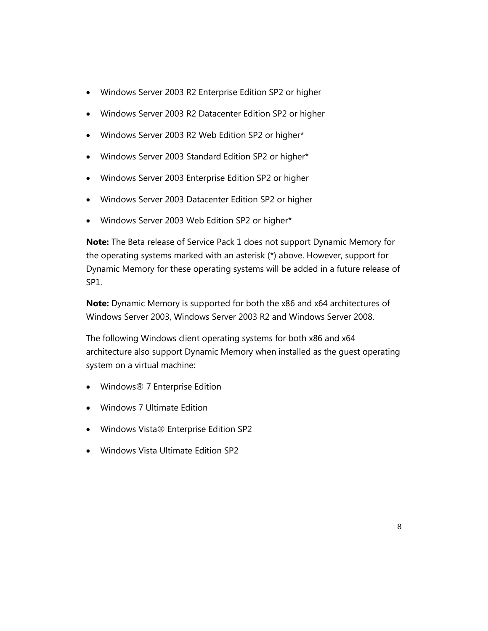- Windows Server 2003 R2 Enterprise Edition SP2 or higher
- Windows Server 2003 R2 Datacenter Edition SP2 or higher
- Windows Server 2003 R2 Web Edition SP2 or higher\*
- Windows Server 2003 Standard Edition SP2 or higher\*
- Windows Server 2003 Enterprise Edition SP2 or higher
- Windows Server 2003 Datacenter Edition SP2 or higher
- Windows Server 2003 Web Edition SP2 or higher\*

**Note:** The Beta release of Service Pack 1 does not support Dynamic Memory for the operating systems marked with an asterisk (\*) above. However, support for Dynamic Memory for these operating systems will be added in a future release of SP1.

**Note:** Dynamic Memory is supported for both the x86 and x64 architectures of Windows Server 2003, Windows Server 2003 R2 and Windows Server 2008.

The following Windows client operating systems for both x86 and x64 architecture also support Dynamic Memory when installed as the guest operating system on a virtual machine:

- Windows® 7 Enterprise Edition
- Windows 7 Ultimate Edition
- Windows Vista® Enterprise Edition SP2
- Windows Vista Ultimate Edition SP2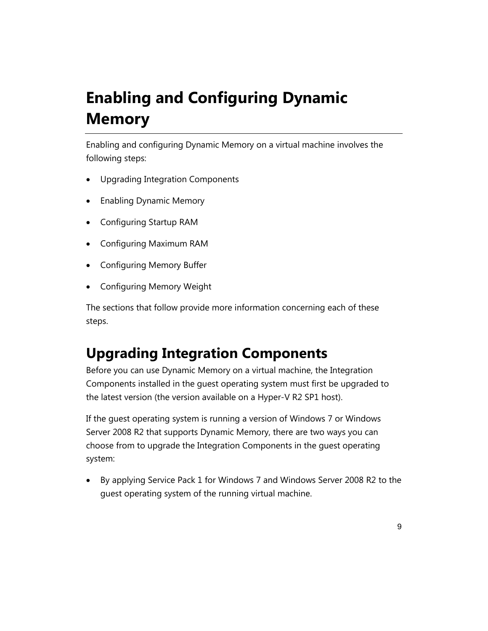# **Enabling and Configuring Dynamic Memory**

Enabling and configuring Dynamic Memory on a virtual machine involves the following steps:

- Upgrading Integration Components
- Enabling Dynamic Memory
- Configuring Startup RAM
- Configuring Maximum RAM
- Configuring Memory Buffer
- Configuring Memory Weight

The sections that follow provide more information concerning each of these steps.

### **Upgrading Integration Components**

Before you can use Dynamic Memory on a virtual machine, the Integration Components installed in the guest operating system must first be upgraded to the latest version (the version available on a Hyper-V R2 SP1 host).

If the guest operating system is running a version of Windows 7 or Windows Server 2008 R2 that supports Dynamic Memory, there are two ways you can choose from to upgrade the Integration Components in the guest operating system:

 By applying Service Pack 1 for Windows 7 and Windows Server 2008 R2 to the guest operating system of the running virtual machine.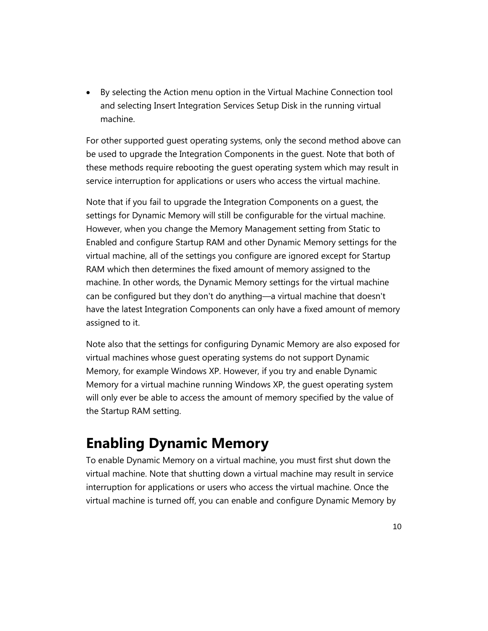By selecting the Action menu option in the Virtual Machine Connection tool and selecting Insert Integration Services Setup Disk in the running virtual machine.

For other supported guest operating systems, only the second method above can be used to upgrade the Integration Components in the guest. Note that both of these methods require rebooting the guest operating system which may result in service interruption for applications or users who access the virtual machine.

Note that if you fail to upgrade the Integration Components on a guest, the settings for Dynamic Memory will still be configurable for the virtual machine. However, when you change the Memory Management setting from Static to Enabled and configure Startup RAM and other Dynamic Memory settings for the virtual machine, all of the settings you configure are ignored except for Startup RAM which then determines the fixed amount of memory assigned to the machine. In other words, the Dynamic Memory settings for the virtual machine can be configured but they don't do anything—a virtual machine that doesn't have the latest Integration Components can only have a fixed amount of memory assigned to it.

Note also that the settings for configuring Dynamic Memory are also exposed for virtual machines whose guest operating systems do not support Dynamic Memory, for example Windows XP. However, if you try and enable Dynamic Memory for a virtual machine running Windows XP, the guest operating system will only ever be able to access the amount of memory specified by the value of the Startup RAM setting.

#### **Enabling Dynamic Memory**

To enable Dynamic Memory on a virtual machine, you must first shut down the virtual machine. Note that shutting down a virtual machine may result in service interruption for applications or users who access the virtual machine. Once the virtual machine is turned off, you can enable and configure Dynamic Memory by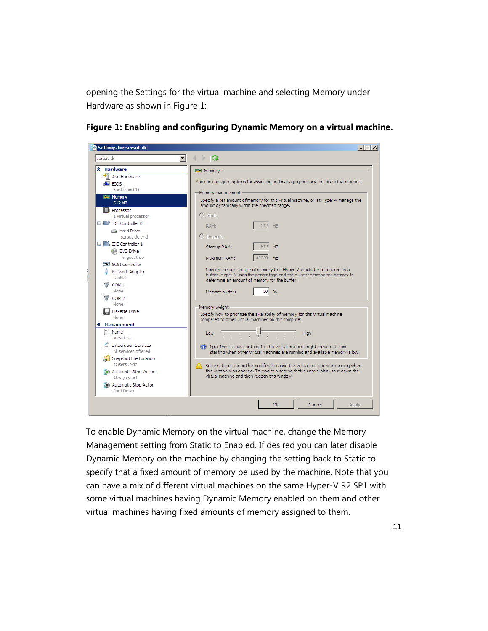opening the Settings for the virtual machine and selecting Memory under Hardware as shown in Figure 1:



**Figure 1: Enabling and configuring Dynamic Memory on a virtual machine.** 

To enable Dynamic Memory on the virtual machine, change the Memory Management setting from Static to Enabled. If desired you can later disable Dynamic Memory on the machine by changing the setting back to Static to specify that a fixed amount of memory be used by the machine. Note that you can have a mix of different virtual machines on the same Hyper-V R2 SP1 with some virtual machines having Dynamic Memory enabled on them and other virtual machines having fixed amounts of memory assigned to them.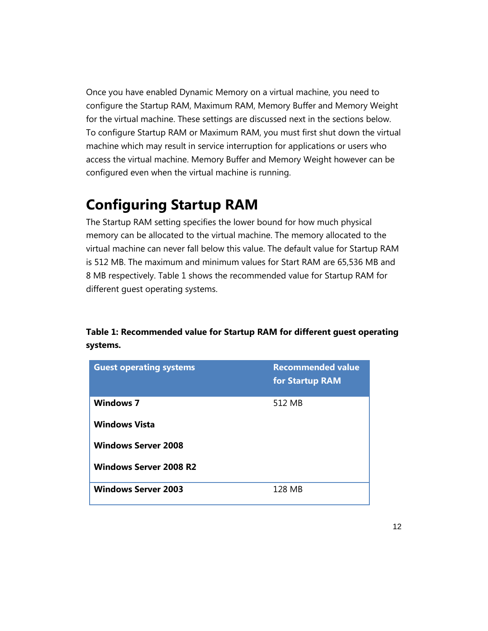Once you have enabled Dynamic Memory on a virtual machine, you need to configure the Startup RAM, Maximum RAM, Memory Buffer and Memory Weight for the virtual machine. These settings are discussed next in the sections below. To configure Startup RAM or Maximum RAM, you must first shut down the virtual machine which may result in service interruption for applications or users who access the virtual machine. Memory Buffer and Memory Weight however can be configured even when the virtual machine is running.

#### **Configuring Startup RAM**

The Startup RAM setting specifies the lower bound for how much physical memory can be allocated to the virtual machine. The memory allocated to the virtual machine can never fall below this value. The default value for Startup RAM is 512 MB. The maximum and minimum values for Start RAM are 65,536 MB and 8 MB respectively. Table 1 shows the recommended value for Startup RAM for different guest operating systems.

#### **Table 1: Recommended value for Startup RAM for different guest operating systems.**

| <b>Guest operating systems</b>           | <b>Recommended value</b><br>for Startup RAM |
|------------------------------------------|---------------------------------------------|
| <b>Windows 7</b><br><b>Windows Vista</b> | 512 MB                                      |
| <b>Windows Server 2008</b>               |                                             |
| <b>Windows Server 2008 R2</b>            |                                             |
| <b>Windows Server 2003</b>               | 128 MB                                      |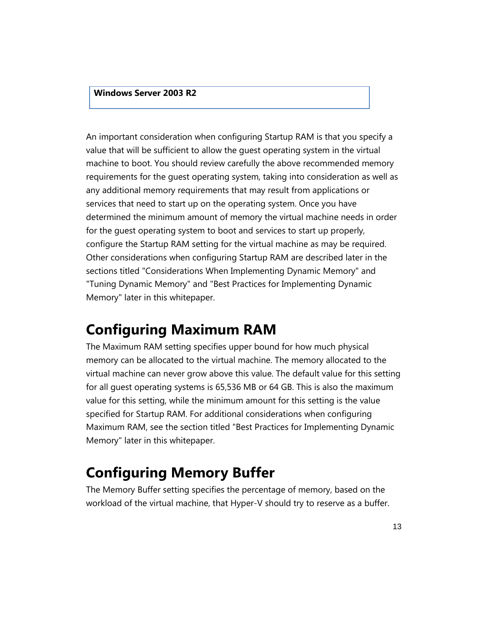#### **Windows Server 2003 R2**

An important consideration when configuring Startup RAM is that you specify a value that will be sufficient to allow the guest operating system in the virtual machine to boot. You should review carefully the above recommended memory requirements for the guest operating system, taking into consideration as well as any additional memory requirements that may result from applications or services that need to start up on the operating system. Once you have determined the minimum amount of memory the virtual machine needs in order for the guest operating system to boot and services to start up properly, configure the Startup RAM setting for the virtual machine as may be required. Other considerations when configuring Startup RAM are described later in the sections titled "Considerations When Implementing Dynamic Memory" and "Tuning Dynamic Memory" and "Best Practices for Implementing Dynamic Memory" later in this whitepaper.

#### **Configuring Maximum RAM**

The Maximum RAM setting specifies upper bound for how much physical memory can be allocated to the virtual machine. The memory allocated to the virtual machine can never grow above this value. The default value for this setting for all guest operating systems is 65,536 MB or 64 GB. This is also the maximum value for this setting, while the minimum amount for this setting is the value specified for Startup RAM. For additional considerations when configuring Maximum RAM, see the section titled "Best Practices for Implementing Dynamic Memory" later in this whitepaper.

#### **Configuring Memory Buffer**

The Memory Buffer setting specifies the percentage of memory, based on the workload of the virtual machine, that Hyper-V should try to reserve as a buffer.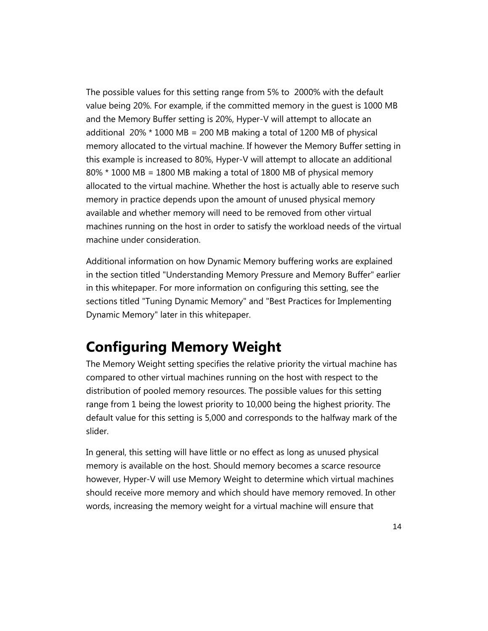The possible values for this setting range from 5% to 2000% with the default value being 20%. For example, if the committed memory in the guest is 1000 MB and the Memory Buffer setting is 20%, Hyper-V will attempt to allocate an additional 20%  $*$  1000 MB = 200 MB making a total of 1200 MB of physical memory allocated to the virtual machine. If however the Memory Buffer setting in this example is increased to 80%, Hyper-V will attempt to allocate an additional 80% \* 1000 MB = 1800 MB making a total of 1800 MB of physical memory allocated to the virtual machine. Whether the host is actually able to reserve such memory in practice depends upon the amount of unused physical memory available and whether memory will need to be removed from other virtual machines running on the host in order to satisfy the workload needs of the virtual machine under consideration.

Additional information on how Dynamic Memory buffering works are explained in the section titled "Understanding Memory Pressure and Memory Buffer" earlier in this whitepaper. For more information on configuring this setting, see the sections titled "Tuning Dynamic Memory" and "Best Practices for Implementing Dynamic Memory" later in this whitepaper.

#### **Configuring Memory Weight**

The Memory Weight setting specifies the relative priority the virtual machine has compared to other virtual machines running on the host with respect to the distribution of pooled memory resources. The possible values for this setting range from 1 being the lowest priority to 10,000 being the highest priority. The default value for this setting is 5,000 and corresponds to the halfway mark of the slider.

In general, this setting will have little or no effect as long as unused physical memory is available on the host. Should memory becomes a scarce resource however, Hyper-V will use Memory Weight to determine which virtual machines should receive more memory and which should have memory removed. In other words, increasing the memory weight for a virtual machine will ensure that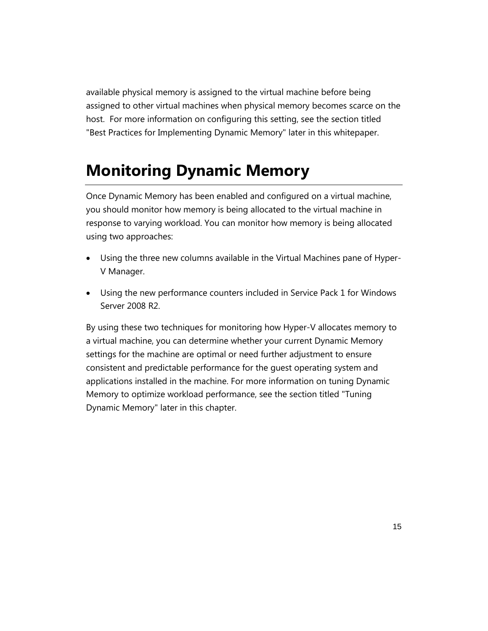available physical memory is assigned to the virtual machine before being assigned to other virtual machines when physical memory becomes scarce on the host. For more information on configuring this setting, see the section titled "Best Practices for Implementing Dynamic Memory" later in this whitepaper.

## **Monitoring Dynamic Memory**

Once Dynamic Memory has been enabled and configured on a virtual machine, you should monitor how memory is being allocated to the virtual machine in response to varying workload. You can monitor how memory is being allocated using two approaches:

- Using the three new columns available in the Virtual Machines pane of Hyper-V Manager.
- Using the new performance counters included in Service Pack 1 for Windows Server 2008 R2.

By using these two techniques for monitoring how Hyper-V allocates memory to a virtual machine, you can determine whether your current Dynamic Memory settings for the machine are optimal or need further adjustment to ensure consistent and predictable performance for the guest operating system and applications installed in the machine. For more information on tuning Dynamic Memory to optimize workload performance, see the section titled "Tuning Dynamic Memory" later in this chapter.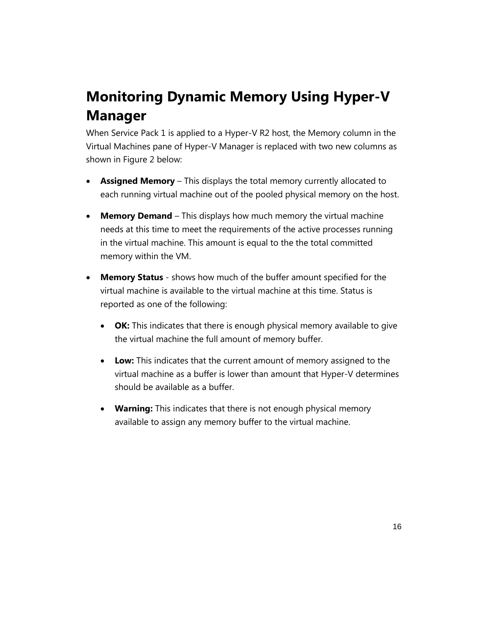## **Monitoring Dynamic Memory Using Hyper-V Manager**

When Service Pack 1 is applied to a Hyper-V R2 host, the Memory column in the Virtual Machines pane of Hyper-V Manager is replaced with two new columns as shown in Figure 2 below:

- **Assigned Memory** This displays the total memory currently allocated to each running virtual machine out of the pooled physical memory on the host.
- **Memory Demand**  This displays how much memory the virtual machine needs at this time to meet the requirements of the active processes running in the virtual machine. This amount is equal to the the total committed memory within the VM.
- **Memory Status**  shows how much of the buffer amount specified for the virtual machine is available to the virtual machine at this time. Status is reported as one of the following:
	- **OK:** This indicates that there is enough physical memory available to give the virtual machine the full amount of memory buffer.
	- **Low:** This indicates that the current amount of memory assigned to the virtual machine as a buffer is lower than amount that Hyper-V determines should be available as a buffer.
	- **Warning:** This indicates that there is not enough physical memory available to assign any memory buffer to the virtual machine.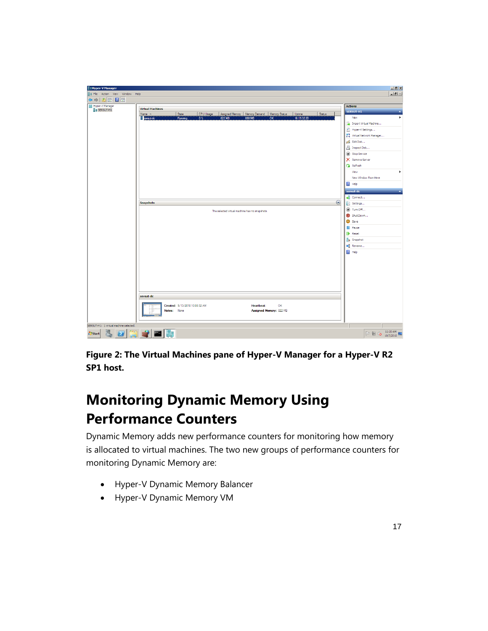

**Figure 2: The Virtual Machines pane of Hyper-V Manager for a Hyper-V R2 SP1 host.** 

## **Monitoring Dynamic Memory Using Performance Counters**

Dynamic Memory adds new performance counters for monitoring how memory is allocated to virtual machines. The two new groups of performance counters for monitoring Dynamic Memory are:

- Hyper-V Dynamic Memory Balancer
- Hyper-V Dynamic Memory VM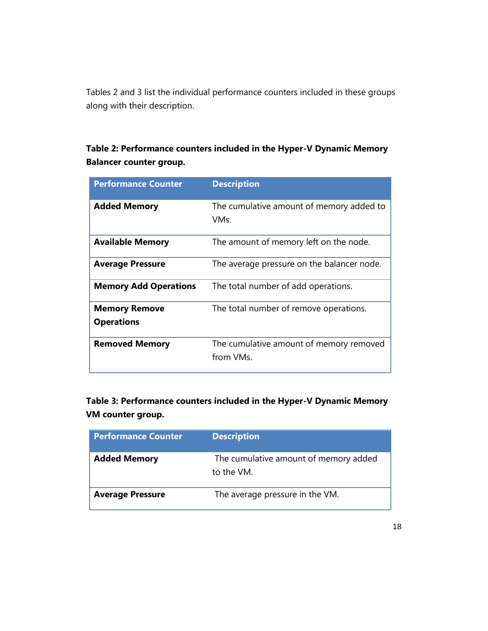Tables 2 and 3 list the individual performance counters included in these groups along with their description.

#### **Table 2: Performance counters included in the Hyper-V Dynamic Memory Balancer counter group.**

| <b>Performance Counter</b>                | <b>Description</b>                                   |
|-------------------------------------------|------------------------------------------------------|
| <b>Added Memory</b>                       | The cumulative amount of memory added to<br>VMs.     |
| <b>Available Memory</b>                   | The amount of memory left on the node.               |
| <b>Average Pressure</b>                   | The average pressure on the balancer node.           |
| <b>Memory Add Operations</b>              | The total number of add operations.                  |
| <b>Memory Remove</b><br><b>Operations</b> | The total number of remove operations.               |
| <b>Removed Memory</b>                     | The cumulative amount of memory removed<br>from VMs. |

**Table 3: Performance counters included in the Hyper-V Dynamic Memory VM counter group.**

| <b>Performance Counter</b> | <b>Description</b>                                  |
|----------------------------|-----------------------------------------------------|
| <b>Added Memory</b>        | The cumulative amount of memory added<br>to the VM. |
| <b>Average Pressure</b>    | The average pressure in the VM.                     |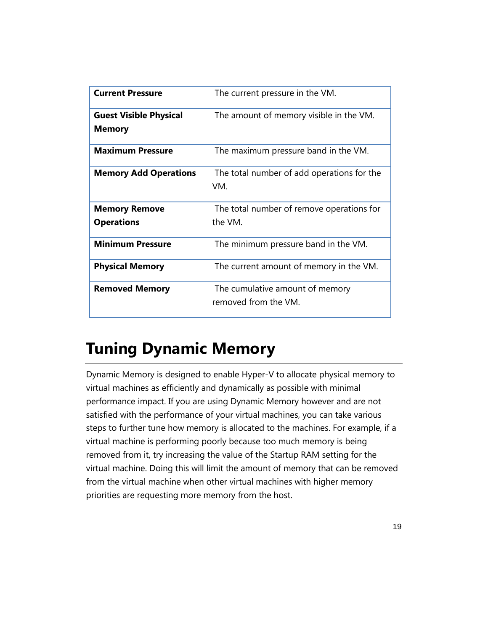| <b>Current Pressure</b>       | The current pressure in the VM.            |
|-------------------------------|--------------------------------------------|
| <b>Guest Visible Physical</b> | The amount of memory visible in the VM.    |
| <b>Memory</b>                 |                                            |
| <b>Maximum Pressure</b>       | The maximum pressure band in the VM.       |
| <b>Memory Add Operations</b>  | The total number of add operations for the |
|                               | VM.                                        |
| <b>Memory Remove</b>          | The total number of remove operations for  |
| <b>Operations</b>             | the VM.                                    |
| <b>Minimum Pressure</b>       | The minimum pressure band in the VM.       |
| <b>Physical Memory</b>        | The current amount of memory in the VM.    |
| <b>Removed Memory</b>         | The cumulative amount of memory            |
|                               | removed from the VM.                       |

## **Tuning Dynamic Memory**

Dynamic Memory is designed to enable Hyper-V to allocate physical memory to virtual machines as efficiently and dynamically as possible with minimal performance impact. If you are using Dynamic Memory however and are not satisfied with the performance of your virtual machines, you can take various steps to further tune how memory is allocated to the machines. For example, if a virtual machine is performing poorly because too much memory is being removed from it, try increasing the value of the Startup RAM setting for the virtual machine. Doing this will limit the amount of memory that can be removed from the virtual machine when other virtual machines with higher memory priorities are requesting more memory from the host.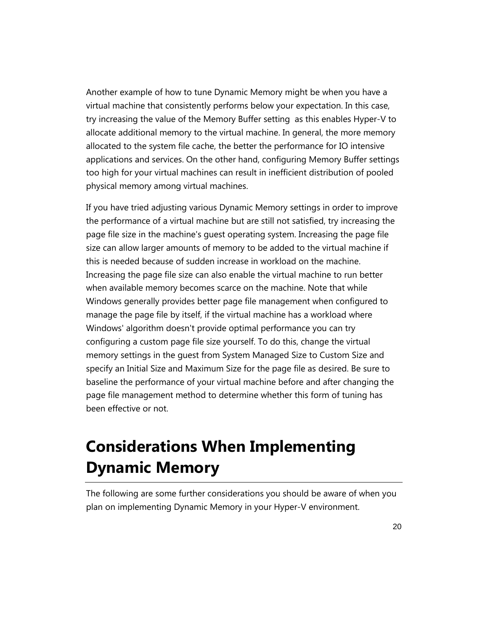Another example of how to tune Dynamic Memory might be when you have a virtual machine that consistently performs below your expectation. In this case, try increasing the value of the Memory Buffer setting as this enables Hyper-V to allocate additional memory to the virtual machine. In general, the more memory allocated to the system file cache, the better the performance for IO intensive applications and services. On the other hand, configuring Memory Buffer settings too high for your virtual machines can result in inefficient distribution of pooled physical memory among virtual machines.

If you have tried adjusting various Dynamic Memory settings in order to improve the performance of a virtual machine but are still not satisfied, try increasing the page file size in the machine's guest operating system. Increasing the page file size can allow larger amounts of memory to be added to the virtual machine if this is needed because of sudden increase in workload on the machine. Increasing the page file size can also enable the virtual machine to run better when available memory becomes scarce on the machine. Note that while Windows generally provides better page file management when configured to manage the page file by itself, if the virtual machine has a workload where Windows' algorithm doesn't provide optimal performance you can try configuring a custom page file size yourself. To do this, change the virtual memory settings in the guest from System Managed Size to Custom Size and specify an Initial Size and Maximum Size for the page file as desired. Be sure to baseline the performance of your virtual machine before and after changing the page file management method to determine whether this form of tuning has been effective or not.

## **Considerations When Implementing Dynamic Memory**

The following are some further considerations you should be aware of when you plan on implementing Dynamic Memory in your Hyper-V environment.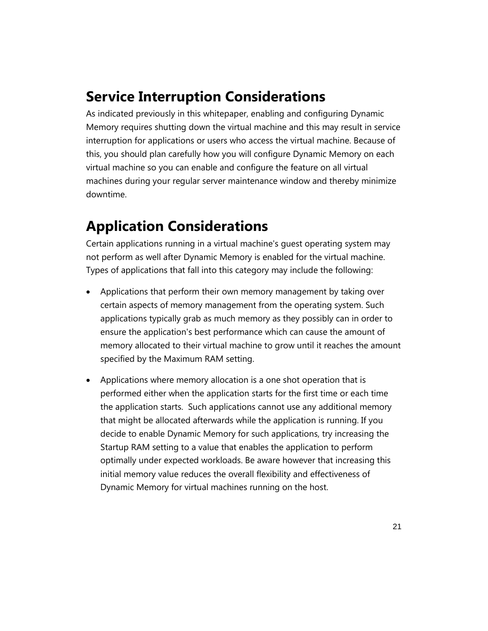#### **Service Interruption Considerations**

As indicated previously in this whitepaper, enabling and configuring Dynamic Memory requires shutting down the virtual machine and this may result in service interruption for applications or users who access the virtual machine. Because of this, you should plan carefully how you will configure Dynamic Memory on each virtual machine so you can enable and configure the feature on all virtual machines during your regular server maintenance window and thereby minimize downtime.

### **Application Considerations**

Certain applications running in a virtual machine's guest operating system may not perform as well after Dynamic Memory is enabled for the virtual machine. Types of applications that fall into this category may include the following:

- Applications that perform their own memory management by taking over certain aspects of memory management from the operating system. Such applications typically grab as much memory as they possibly can in order to ensure the application's best performance which can cause the amount of memory allocated to their virtual machine to grow until it reaches the amount specified by the Maximum RAM setting.
- Applications where memory allocation is a one shot operation that is performed either when the application starts for the first time or each time the application starts. Such applications cannot use any additional memory that might be allocated afterwards while the application is running. If you decide to enable Dynamic Memory for such applications, try increasing the Startup RAM setting to a value that enables the application to perform optimally under expected workloads. Be aware however that increasing this initial memory value reduces the overall flexibility and effectiveness of Dynamic Memory for virtual machines running on the host.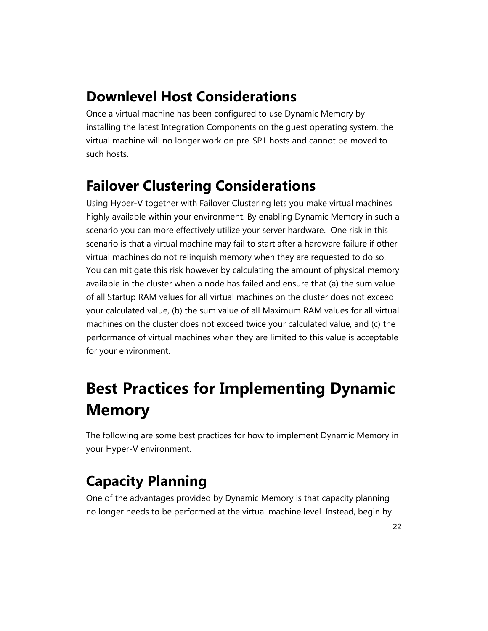### **Downlevel Host Considerations**

Once a virtual machine has been configured to use Dynamic Memory by installing the latest Integration Components on the guest operating system, the virtual machine will no longer work on pre-SP1 hosts and cannot be moved to such hosts.

## **Failover Clustering Considerations**

Using Hyper-V together with Failover Clustering lets you make virtual machines highly available within your environment. By enabling Dynamic Memory in such a scenario you can more effectively utilize your server hardware. One risk in this scenario is that a virtual machine may fail to start after a hardware failure if other virtual machines do not relinquish memory when they are requested to do so. You can mitigate this risk however by calculating the amount of physical memory available in the cluster when a node has failed and ensure that (a) the sum value of all Startup RAM values for all virtual machines on the cluster does not exceed your calculated value, (b) the sum value of all Maximum RAM values for all virtual machines on the cluster does not exceed twice your calculated value, and (c) the performance of virtual machines when they are limited to this value is acceptable for your environment.

# **Best Practices for Implementing Dynamic Memory**

The following are some best practices for how to implement Dynamic Memory in your Hyper-V environment.

## **Capacity Planning**

One of the advantages provided by Dynamic Memory is that capacity planning no longer needs to be performed at the virtual machine level. Instead, begin by